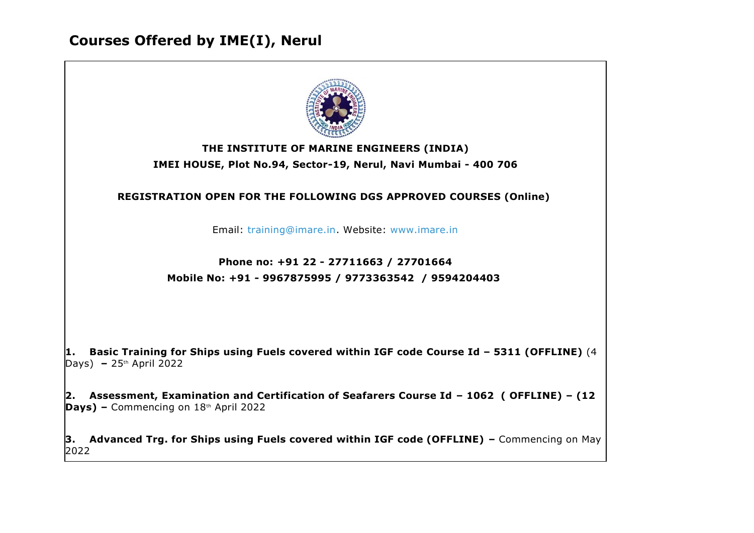## **Courses Offered by IME(I), Nerul**



2022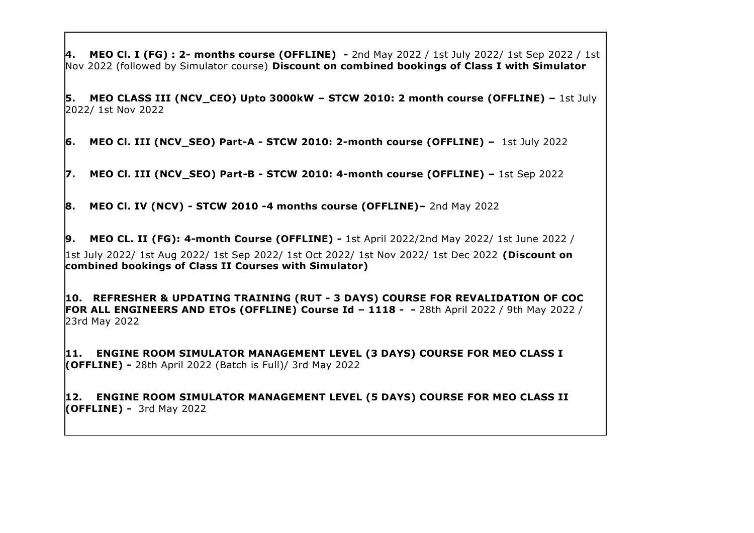**4. MEO Cl. I (FG) : 2- months course (OFFLINE) -** 2nd May 2022 / 1st July 2022/ 1st Sep 2022 / 1st Nov 2022 (followed by Simulator course) **Discount on combined bookings of Class I with Simulator**

**5. MEO CLASS III (NCV\_CEO) Upto 3000kW – STCW 2010: 2 month course (OFFLINE) –** 1st July 2022/ 1st Nov 2022

**6. MEO Cl. III (NCV\_SEO) Part-A - STCW 2010: 2-month course (OFFLINE) –** 1st July 2022

**7. MEO Cl. III (NCV\_SEO) Part-B - STCW 2010: 4-month course (OFFLINE) –** 1st Sep 2022

**8. MEO Cl. IV (NCV) - STCW 2010 -4 months course (OFFLINE)–** 2nd May 2022

**9. MEO CL. II (FG): 4-month Course (OFFLINE) -** 1st April 2022/2nd May 2022/ 1st June 2022 / 1st July 2022/ 1st Aug 2022/ 1st Sep 2022/ 1st Oct 2022/ 1st Nov 2022/ 1st Dec 2022 **(Discount on combined bookings of Class II Courses with Simulator)**

**10. REFRESHER & UPDATING TRAINING (RUT - 3 DAYS) COURSE FOR REVALIDATION OF COC FOR ALL ENGINEERS AND ETOs (OFFLINE) Course Id – 1118 - -** 28th April 2022 / 9th May 2022 / 23rd May 2022

**11. ENGINE ROOM SIMULATOR MANAGEMENT LEVEL (3 DAYS) COURSE FOR MEO CLASS I (OFFLINE) -** 28th April 2022 (Batch is Full)/ 3rd May 2022

**12. ENGINE ROOM SIMULATOR MANAGEMENT LEVEL (5 DAYS) COURSE FOR MEO CLASS II (OFFLINE) -** 3rd May 2022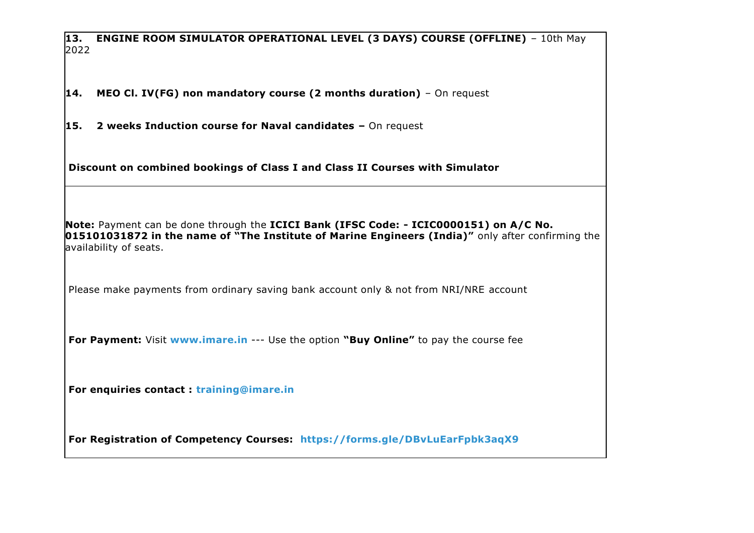**13. ENGINE ROOM SIMULATOR OPERATIONAL LEVEL (3 DAYS) COURSE (OFFLINE)** – 10th May 2022

**14. MEO Cl. IV(FG) non mandatory course (2 months duration)** – On request

**15. 2 weeks Induction course for Naval candidates –** On request

**Discount on combined bookings of Class I and Class II Courses with Simulator**

**Note:** Payment can be done through the **ICICI Bank (IFSC Code: - ICIC0000151) on A/C No. 015101031872 in the name of "The Institute of Marine Engineers (India)"** only after confirming the availability of seats.

Please make payments from ordinary saving bank account only & not from NRI/NRE account

**For Payment:** Visit **[www.imare.in](http://www.imare.in/)** --- Use the option **"Buy Online"** to pay the course fee

**For enquiries contact : [training@imare.in](mailto:training@imare.in)**

**For Registration of Competency Courses: <https://forms.gle/DBvLuEarFpbk3aqX9>**